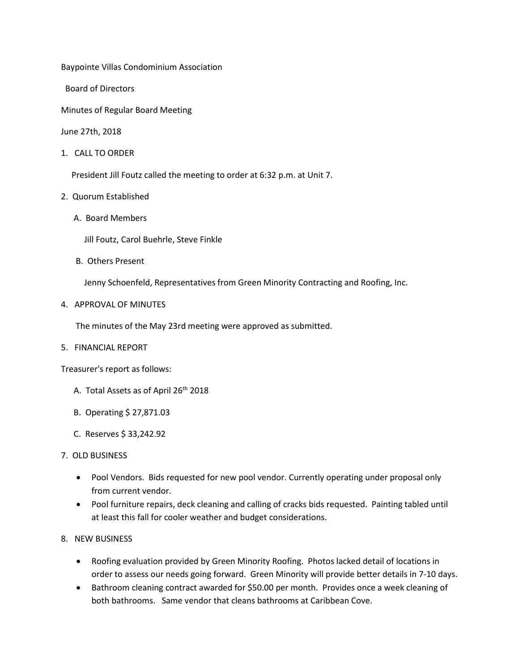Baypointe Villas Condominium Association

Board of Directors

Minutes of Regular Board Meeting

June 27th, 2018

1. CALL TO ORDER

President Jill Foutz called the meeting to order at 6:32 p.m. at Unit 7.

- 2. Quorum Established
	- A. Board Members

Jill Foutz, Carol Buehrle, Steve Finkle

B. Others Present

Jenny Schoenfeld, Representatives from Green Minority Contracting and Roofing, Inc.

4. APPROVAL OF MINUTES

The minutes of the May 23rd meeting were approved as submitted.

5. FINANCIAL REPORT

Treasurer's report as follows:

- A. Total Assets as of April 26<sup>th</sup> 2018
- B. Operating \$ 27,871.03
- C. Reserves \$ 33,242.92
- 7. OLD BUSINESS
	- Pool Vendors. Bids requested for new pool vendor. Currently operating under proposal only from current vendor.
	- Pool furniture repairs, deck cleaning and calling of cracks bids requested. Painting tabled until at least this fall for cooler weather and budget considerations.
- 8. NEW BUSINESS
	- Roofing evaluation provided by Green Minority Roofing. Photos lacked detail of locations in order to assess our needs going forward. Green Minority will provide better details in 7-10 days.
	- Bathroom cleaning contract awarded for \$50.00 per month. Provides once a week cleaning of both bathrooms. Same vendor that cleans bathrooms at Caribbean Cove.